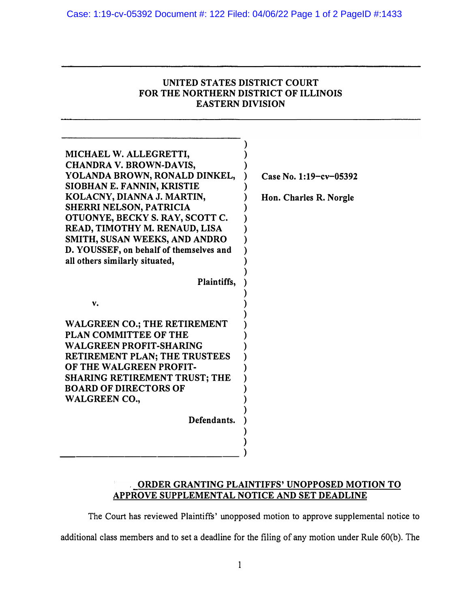| UNITED STATES DISTRICT COURT          |
|---------------------------------------|
| FOR THE NORTHERN DISTRICT OF ILLINOIS |
| <b>EASTERN DIVISION</b>               |

| MICHAEL W. ALLEGRETTI,<br><b>CHANDRA V. BROWN-DAVIS,</b><br>YOLANDA BROWN, RONALD DINKEL,<br>SIOBHAN E. FANNIN, KRISTIE<br>KOLACNY, DIANNA J. MARTIN,<br><b>SHERRI NELSON, PATRICIA</b><br>OTUONYE, BECKY S. RAY, SCOTT C.<br>READ, TIMOTHY M. RENAUD, LISA<br>SMITH, SUSAN WEEKS, AND ANDRO<br>D. YOUSSEF, on behalf of themselves and<br>all others similarly situated, | Case No. 1:19-cv-05392<br>Hon. Charles R. Norgle |
|---------------------------------------------------------------------------------------------------------------------------------------------------------------------------------------------------------------------------------------------------------------------------------------------------------------------------------------------------------------------------|--------------------------------------------------|
| Plaintiffs,                                                                                                                                                                                                                                                                                                                                                               |                                                  |
| v.<br><b>WALGREEN CO.; THE RETIREMENT</b><br><b>PLAN COMMITTEE OF THE</b><br><b>WALGREEN PROFIT-SHARING</b><br><b>RETIREMENT PLAN; THE TRUSTEES</b><br>OF THE WALGREEN PROFIT-<br><b>SHARING RETIREMENT TRUST; THE</b><br><b>BOARD OF DIRECTORS OF</b><br><b>WALGREEN CO.,</b><br>Defendants.                                                                             |                                                  |

## **ORDER GRANTING PLAINTIFFS' UNOPPOSED MOTION TO APPROVE SUPPLEMENT AL NOTICE AND SET DEADLINE**

**The Court has reviewed Plaintiffs' unopposed motion to approve supplemental notice to** 

additional class members and to set a deadline for the filing of any motion under Rule 60(b). The